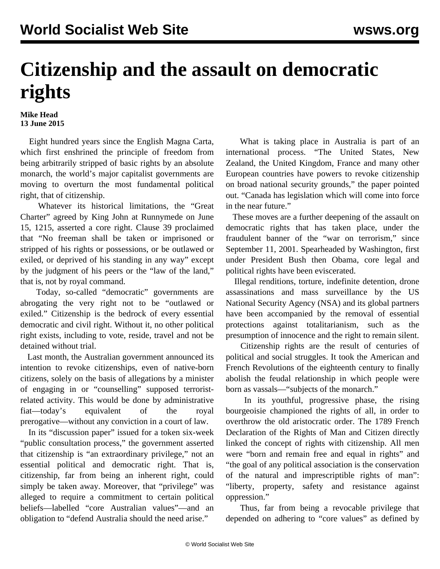## **Citizenship and the assault on democratic rights**

## **Mike Head 13 June 2015**

 Eight hundred years since the English Magna Carta, which first enshrined the principle of freedom from being arbitrarily stripped of basic rights by an absolute monarch, the world's major capitalist governments are moving to overturn the most fundamental political right, that of citizenship.

 Whatever its historical limitations, the "Great Charter" agreed by King John at Runnymede on June 15, 1215, asserted a core right. Clause 39 proclaimed that "No freeman shall be taken or imprisoned or stripped of his rights or possessions, or be outlawed or exiled, or deprived of his standing in any way" except by the judgment of his peers or the "law of the land," that is, not by royal command.

 Today, so-called "democratic" governments are abrogating the very right not to be "outlawed or exiled." Citizenship is the bedrock of every essential democratic and civil right. Without it, no other political right exists, including to vote, reside, travel and not be detained without trial.

 Last month, the Australian government announced its intention to revoke citizenships, even of native-born citizens, solely on the basis of allegations by a minister of engaging in or "counselling" supposed terroristrelated activity. This would be done by administrative fiat—today's equivalent of the royal prerogative—without any conviction in a court of law.

 In its "discussion paper" issued for a token six-week "public consultation process," the government asserted that citizenship is "an extraordinary privilege," not an essential political and democratic right. That is, citizenship, far from being an inherent right, could simply be taken away. Moreover, that "privilege" was alleged to require a commitment to certain political beliefs—labelled "core Australian values"—and an obligation to "defend Australia should the need arise."

 What is taking place in Australia is part of an international process. "The United States, New Zealand, the United Kingdom, France and many other European countries have powers to revoke citizenship on broad national security grounds," the paper pointed out. "Canada has legislation which will come into force in the near future."

 These moves are a further deepening of the assault on democratic rights that has taken place, under the fraudulent banner of the "war on terrorism," since September 11, 2001. Spearheaded by Washington, first under President Bush then Obama, core legal and political rights have been eviscerated.

 Illegal renditions, torture, indefinite detention, drone assassinations and mass surveillance by the US National Security Agency (NSA) and its global partners have been accompanied by the removal of essential protections against totalitarianism, such as the presumption of innocence and the right to remain silent.

 Citizenship rights are the result of centuries of political and social struggles. It took the American and French Revolutions of the eighteenth century to finally abolish the feudal relationship in which people were born as vassals—"subjects of the monarch."

 In its youthful, progressive phase, the rising bourgeoisie championed the rights of all, in order to overthrow the old aristocratic order. The 1789 French Declaration of the Rights of Man and Citizen directly linked the concept of rights with citizenship. All men were "born and remain free and equal in rights" and "the goal of any political association is the conservation of the natural and imprescriptible rights of man": "liberty, property, safety and resistance against oppression."

 Thus, far from being a revocable privilege that depended on adhering to "core values" as defined by